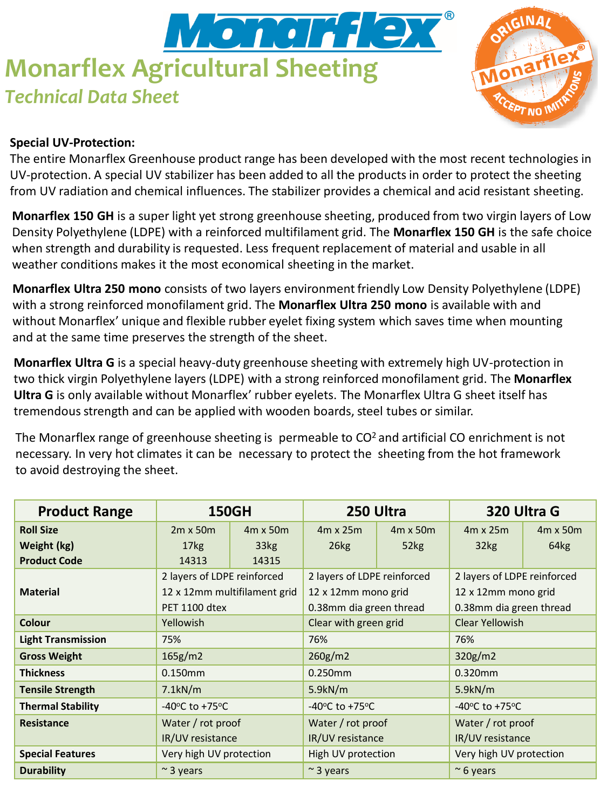# Monar<del>'i</del> le **Monarflex Agricultural Sheeting** *Technical Data Sheet*



### **Special UV-Protection:**

The entire Monarflex Greenhouse product range has been developed with the most recent technologies in UV-protection. A special UV stabilizer has been added to all the products in order to protect the sheeting from UV radiation and chemical influences. The stabilizer provides a chemical and acid resistant sheeting.

**Monarflex 150 GH** is a super light yet strong greenhouse sheeting, produced from two virgin layers of Low Density Polyethylene (LDPE) with a reinforced multifilament grid. The **Monarflex 150 GH** is the safe choice when strength and durability is requested. Less frequent replacement of material and usable in all weather conditions makes it the most economical sheeting in the market.

**Monarflex Ultra 250 mono** consists of two layers environment friendly Low Density Polyethylene (LDPE) with a strong reinforced monofilament grid. The **Monarflex Ultra 250 mono** is available with and without Monarflex' unique and flexible rubber eyelet fixing system which saves time when mounting and at the same time preserves the strength of the sheet.

**Monarflex Ultra G** is a special heavy-duty greenhouse sheeting with extremely high UV-protection in two thick virgin Polyethylene layers (LDPE) with a strong reinforced monofilament grid. The **Monarflex Ultra G** is only available without Monarflex' rubber eyelets. The Monarflex Ultra G sheet itself has tremendous strength and can be applied with wooden boards, steel tubes or similar.

The Monarflex range of greenhouse sheeting is permeable to  $CO<sup>2</sup>$  and artificial CO enrichment is not necessary. In very hot climates it can be necessary to protect the sheeting from the hot framework to avoid destroying the sheet.

| <b>Product Range</b>      | <b>150GH</b>                                                                        |                 | 250 Ultra                          |                 | 320 Ultra G                        |                  |
|---------------------------|-------------------------------------------------------------------------------------|-----------------|------------------------------------|-----------------|------------------------------------|------------------|
| <b>Roll Size</b>          | $2m \times 50m$                                                                     | $4m \times 50m$ | $4m \times 25m$                    | $4m \times 50m$ | $4m \times 25m$                    | 4m x 50m         |
| Weight (kg)               | 17 <sub>kg</sub>                                                                    | 33kg            | 26kg                               | 52kg            | 32kg                               | 64 <sub>kg</sub> |
| <b>Product Code</b>       | 14313                                                                               | 14315           |                                    |                 |                                    |                  |
|                           | 2 layers of LDPE reinforced<br>12 x 12mm multifilament grid<br><b>PET 1100 dtex</b> |                 | 2 layers of LDPE reinforced        |                 | 2 layers of LDPE reinforced        |                  |
| <b>Material</b>           |                                                                                     |                 | 12 x 12mm mono grid                |                 | 12 x 12mm mono grid                |                  |
|                           |                                                                                     |                 | 0.38mm dia green thread            |                 | 0.38mm dia green thread            |                  |
| <b>Colour</b>             | Yellowish                                                                           |                 | Clear with green grid              |                 | Clear Yellowish                    |                  |
| <b>Light Transmission</b> | 75%                                                                                 |                 | 76%                                |                 | 76%                                |                  |
| <b>Gross Weight</b>       | 165g/m2                                                                             |                 | 260g/m2                            |                 | 320g/m2                            |                  |
| <b>Thickness</b>          | $0.150$ mm                                                                          |                 | $0.250$ mm                         |                 | 0.320mm                            |                  |
| <b>Tensile Strength</b>   | 7.1kN/m                                                                             |                 | 5.9kN/m                            |                 | 5.9kN/m                            |                  |
| <b>Thermal Stability</b>  | -40 $\degree$ C to +75 $\degree$ C                                                  |                 | -40 $\degree$ C to +75 $\degree$ C |                 | -40 $\degree$ C to +75 $\degree$ C |                  |
| Resistance                | Water / rot proof                                                                   |                 | Water / rot proof                  |                 | Water / rot proof                  |                  |
|                           | IR/UV resistance                                                                    |                 | IR/UV resistance                   |                 | IR/UV resistance                   |                  |
| <b>Special Features</b>   | Very high UV protection                                                             |                 | High UV protection                 |                 | Very high UV protection            |                  |
| <b>Durability</b>         | $\sim$ 3 years                                                                      |                 | $\approx$ 3 years                  |                 | $\approx$ 6 years                  |                  |